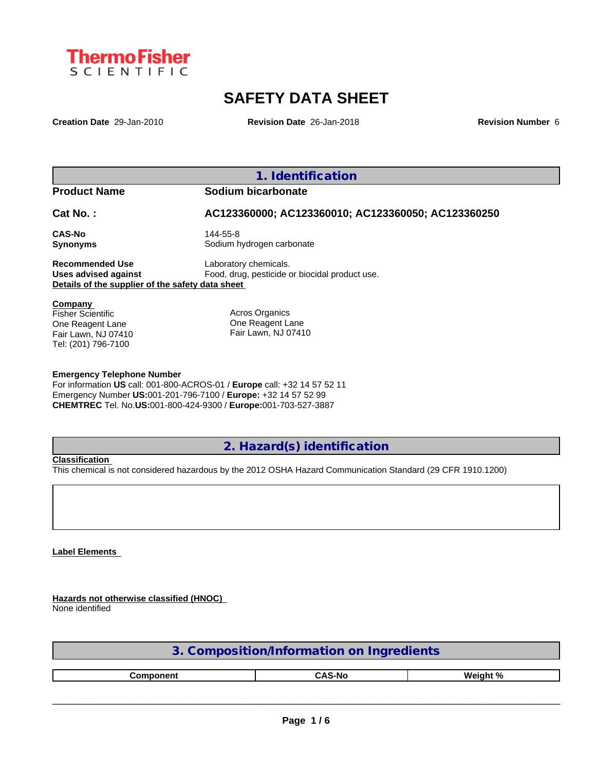

# **SAFETY DATA SHEET**

**Creation Date** 29-Jan-2010 **Revision Date** 26-Jan-2018 **Revision Number** 6

**1. Identification**

## **Product Name Sodium bicarbonate**

**Cat No. : AC123360000; AC123360010; AC123360050; AC123360250**

**CAS-No** 144-55-8

**Synonyms** Sodium hydrogen carbonate

**Recommended Use** Laboratory chemicals.<br> **Uses advised against** Food, drug, pesticide of Food, drug, pesticide or biocidal product use. **Details of the supplier of the safety data sheet**

**Company**  Fisher Scientific One Reagent Lane Fair Lawn, NJ 07410 Tel: (201) 796-7100

Acros Organics One Reagent Lane Fair Lawn, NJ 07410

### **Emergency Telephone Number**

For information **US** call: 001-800-ACROS-01 / **Europe** call: +32 14 57 52 11 Emergency Number **US:**001-201-796-7100 / **Europe:** +32 14 57 52 99 **CHEMTREC** Tel. No.**US:**001-800-424-9300 / **Europe:**001-703-527-3887

**2. Hazard(s) identification**

### **Classification**

This chemical is not considered hazardous by the 2012 OSHA Hazard Communication Standard (29 CFR 1910.1200)

## **Label Elements**

**Hazards not otherwise classified (HNOC)** None identified

| Composition/Information on Ingredients        |  |  |  |  |  |  |
|-----------------------------------------------|--|--|--|--|--|--|
| <b>CAS-No</b><br>Weight %<br><b>Component</b> |  |  |  |  |  |  |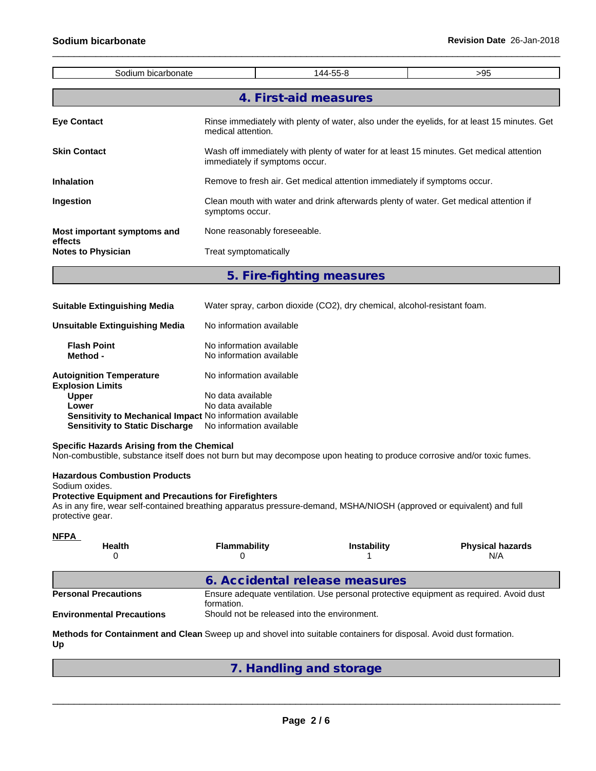| Sodium bicarbonate                   |                       | 144-55-8                                                                                                                   | >95 |  |  |  |
|--------------------------------------|-----------------------|----------------------------------------------------------------------------------------------------------------------------|-----|--|--|--|
|                                      |                       | 4. First-aid measures                                                                                                      |     |  |  |  |
| <b>Eye Contact</b>                   |                       | Rinse immediately with plenty of water, also under the eyelids, for at least 15 minutes. Get<br>medical attention.         |     |  |  |  |
| <b>Skin Contact</b>                  |                       | Wash off immediately with plenty of water for at least 15 minutes. Get medical attention<br>immediately if symptoms occur. |     |  |  |  |
| <b>Inhalation</b>                    |                       | Remove to fresh air. Get medical attention immediately if symptoms occur.                                                  |     |  |  |  |
| <b>Ingestion</b>                     |                       | Clean mouth with water and drink afterwards plenty of water. Get medical attention if<br>symptoms occur.                   |     |  |  |  |
| Most important symptoms and          |                       | None reasonably foreseeable.                                                                                               |     |  |  |  |
| effects<br><b>Notes to Physician</b> | Treat symptomatically |                                                                                                                            |     |  |  |  |

**5. Fire-fighting measures**

| <b>Suitable Extinguishing Media</b>                        | Water spray, carbon dioxide (CO2), dry chemical, alcohol-resistant foam. |
|------------------------------------------------------------|--------------------------------------------------------------------------|
| <b>Unsuitable Extinguishing Media</b>                      | No information available                                                 |
| <b>Flash Point</b><br>Method -                             | No information available<br>No information available                     |
| <b>Autoignition Temperature</b><br><b>Explosion Limits</b> | No information available                                                 |
| <b>Upper</b>                                               | No data available                                                        |
| Lower                                                      | No data available                                                        |
| Sensitivity to Mechanical Impact No information available  |                                                                          |
| <b>Sensitivity to Static Discharge</b>                     | No information available                                                 |

### **Specific Hazards Arising from the Chemical**

Non-combustible, substance itself does not burn but may decompose upon heating to produce corrosive and/or toxic fumes.

### **Hazardous Combustion Products**

Sodium oxides.

### **Protective Equipment and Precautions for Firefighters**

As in any fire, wear self-contained breathing apparatus pressure-demand, MSHA/NIOSH (approved or equivalent) and full protective gear.

**Methods for Containment and Clean** Sweep up and shovel into suitable containers for disposal. Avoid dust formation. **Up**

**7. Handling and storage**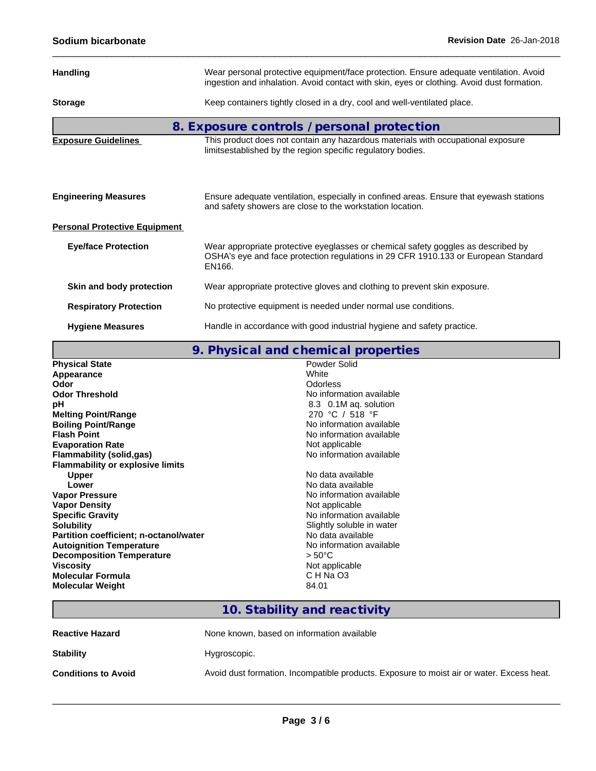| <b>Handling</b>                      | Wear personal protective equipment/face protection. Ensure adequate ventilation. Avoid<br>ingestion and inhalation. Avoid contact with skin, eyes or clothing. Avoid dust formation. |
|--------------------------------------|--------------------------------------------------------------------------------------------------------------------------------------------------------------------------------------|
|                                      |                                                                                                                                                                                      |
| <b>Storage</b>                       | Keep containers tightly closed in a dry, cool and well-ventilated place.                                                                                                             |
|                                      | 8. Exposure controls / personal protection                                                                                                                                           |
| <b>Exposure Guidelines</b>           | This product does not contain any hazardous materials with occupational exposure<br>limitsestablished by the region specific regulatory bodies.                                      |
|                                      |                                                                                                                                                                                      |
| <b>Engineering Measures</b>          | Ensure adequate ventilation, especially in confined areas. Ensure that eyewash stations<br>and safety showers are close to the workstation location.                                 |
| <b>Personal Protective Equipment</b> |                                                                                                                                                                                      |
| <b>Eye/face Protection</b>           | Wear appropriate protective eyeglasses or chemical safety goggles as described by<br>OSHA's eye and face protection regulations in 29 CFR 1910.133 or European Standard<br>EN166.    |
| Skin and body protection             | Wear appropriate protective gloves and clothing to prevent skin exposure.                                                                                                            |
| <b>Respiratory Protection</b>        | No protective equipment is needed under normal use conditions.                                                                                                                       |
| <b>Hygiene Measures</b>              | Handle in accordance with good industrial hygiene and safety practice.                                                                                                               |

# **9. Physical and chemical properties**

| <b>Physical State</b>                   | Powder Solid              |
|-----------------------------------------|---------------------------|
| Appearance                              | White                     |
| Odor                                    | <b>Odorless</b>           |
| <b>Odor Threshold</b>                   | No information available  |
| рH                                      | 8.3 0.1M aq. solution     |
| <b>Melting Point/Range</b>              | 270 °C / 518 °F           |
| <b>Boiling Point/Range</b>              | No information available  |
| <b>Flash Point</b>                      | No information available  |
| <b>Evaporation Rate</b>                 | Not applicable            |
| <b>Flammability (solid,gas)</b>         | No information available  |
| <b>Flammability or explosive limits</b> |                           |
| <b>Upper</b>                            | No data available         |
| Lower                                   | No data available         |
| <b>Vapor Pressure</b>                   | No information available  |
| <b>Vapor Density</b>                    | Not applicable            |
| <b>Specific Gravity</b>                 | No information available  |
| <b>Solubility</b>                       | Slightly soluble in water |
| Partition coefficient; n-octanol/water  | No data available         |
| <b>Autoignition Temperature</b>         | No information available  |
| <b>Decomposition Temperature</b>        | $> 50^{\circ}$ C          |
| <b>Viscosity</b>                        | Not applicable            |
| Molecular Formula                       | C H Na O3                 |
| <b>Molecular Weight</b>                 | 84.01                     |
|                                         |                           |

## **10. Stability and reactivity**

| <b>Reactive Hazard</b>     | None known, based on information available                                                |  |  |  |  |
|----------------------------|-------------------------------------------------------------------------------------------|--|--|--|--|
| <b>Stability</b>           | Hygroscopic.                                                                              |  |  |  |  |
| <b>Conditions to Avoid</b> | Avoid dust formation. Incompatible products. Exposure to moist air or water. Excess heat. |  |  |  |  |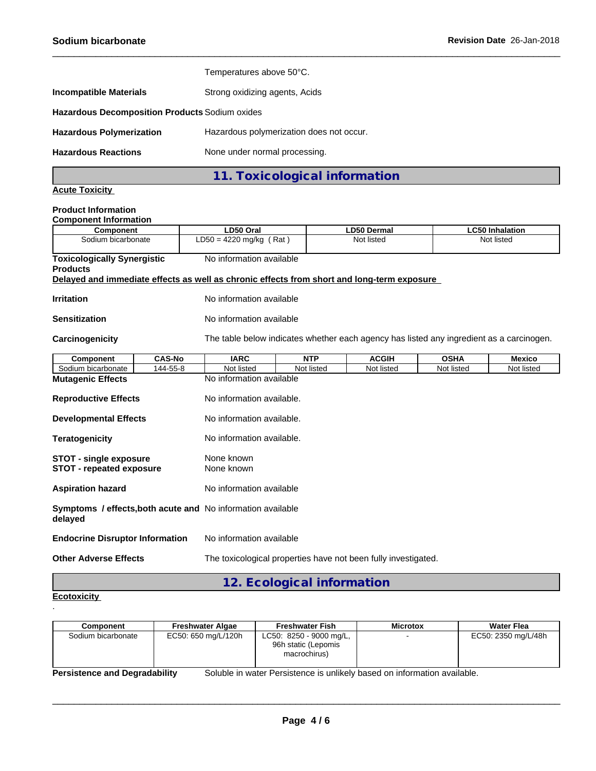|                                                                             | 11. Toxicological information  |  |  |
|-----------------------------------------------------------------------------|--------------------------------|--|--|
| <b>Hazardous Reactions</b>                                                  | None under normal processing.  |  |  |
| Hazardous polymerization does not occur.<br><b>Hazardous Polymerization</b> |                                |  |  |
| <b>Hazardous Decomposition Products Sodium oxides</b>                       |                                |  |  |
| <b>Incompatible Materials</b>                                               | Strong oxidizing agents, Acids |  |  |
|                                                                             | Temperatures above 50°C.       |  |  |

**Acute Toxicity**

#### **Product Information Component Information**

| oomponent mormanon<br><b>Component</b>                                                     | LD50 Oral                                                      |                           | <b>LD50 Dermal</b>                                                                       |             | <b>LC50 Inhalation</b> |  |  |
|--------------------------------------------------------------------------------------------|----------------------------------------------------------------|---------------------------|------------------------------------------------------------------------------------------|-------------|------------------------|--|--|
| Sodium bicarbonate                                                                         | $LD50 = 4220$ mg/kg (Rat)                                      |                           | Not listed                                                                               |             | Not listed             |  |  |
| <b>Toxicologically Synergistic</b><br><b>Products</b>                                      |                                                                | No information available  |                                                                                          |             |                        |  |  |
| Delayed and immediate effects as well as chronic effects from short and long-term exposure |                                                                |                           |                                                                                          |             |                        |  |  |
| <b>Irritation</b>                                                                          | No information available                                       |                           |                                                                                          |             |                        |  |  |
| <b>Sensitization</b>                                                                       | No information available                                       |                           |                                                                                          |             |                        |  |  |
| Carcinogenicity                                                                            |                                                                |                           | The table below indicates whether each agency has listed any ingredient as a carcinogen. |             |                        |  |  |
| <b>CAS-No</b><br>Component                                                                 | <b>IARC</b>                                                    | <b>NTP</b>                | <b>ACGIH</b>                                                                             | <b>OSHA</b> | <b>Mexico</b>          |  |  |
| Sodium bicarbonate<br>144-55-8                                                             | Not listed                                                     | Not listed                | Not listed                                                                               | Not listed  | Not listed             |  |  |
| <b>Mutagenic Effects</b>                                                                   | No information available                                       |                           |                                                                                          |             |                        |  |  |
| <b>Reproductive Effects</b>                                                                |                                                                | No information available. |                                                                                          |             |                        |  |  |
| <b>Developmental Effects</b>                                                               |                                                                | No information available. |                                                                                          |             |                        |  |  |
| <b>Teratogenicity</b>                                                                      |                                                                | No information available. |                                                                                          |             |                        |  |  |
| <b>STOT - single exposure</b><br><b>STOT - repeated exposure</b>                           | None known<br>None known                                       |                           |                                                                                          |             |                        |  |  |
| No information available<br><b>Aspiration hazard</b>                                       |                                                                |                           |                                                                                          |             |                        |  |  |
| <b>Symptoms / effects, both acute and No information available</b><br>delayed              |                                                                |                           |                                                                                          |             |                        |  |  |
| <b>Endocrine Disruptor Information</b>                                                     | No information available                                       |                           |                                                                                          |             |                        |  |  |
| <b>Other Adverse Effects</b>                                                               | The toxicological properties have not been fully investigated. |                           |                                                                                          |             |                        |  |  |

**12. Ecological information**

### **Ecotoxicity**  .

| Component                                                                                                        | <b>Freshwater Algae</b> | <b>Freshwater Fish</b>                                         | <b>Microtox</b> | <b>Water Flea</b>   |
|------------------------------------------------------------------------------------------------------------------|-------------------------|----------------------------------------------------------------|-----------------|---------------------|
| Sodium bicarbonate                                                                                               | EC50: 650 mg/L/120h     | LC50: 8250 - 9000 mg/L,<br>96h static (Lepomis<br>macrochirus) |                 | EC50: 2350 mg/L/48h |
| Soluble in water Persistence is unlikely based on information available.<br><b>Persistence and Degradability</b> |                         |                                                                |                 |                     |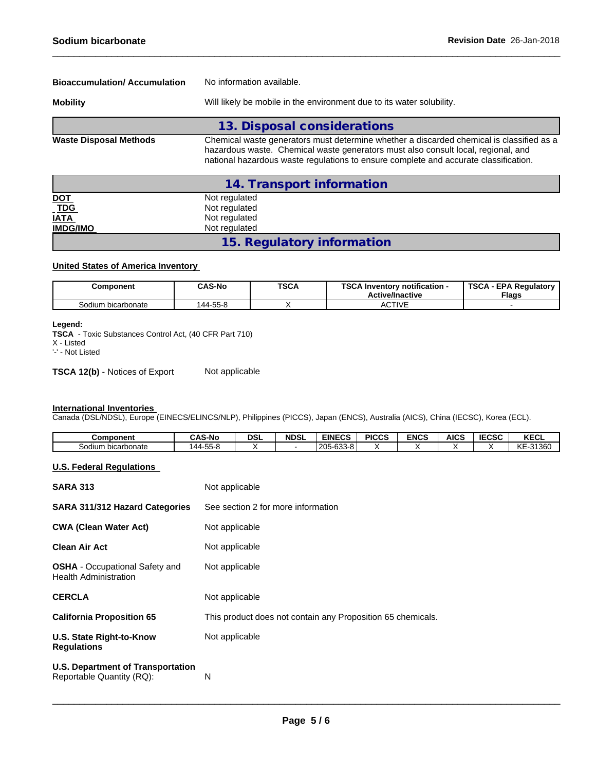| <b>Bioaccumulation/Accumulation</b> | No information available.                                                                                                                                                                                                                                             |  |  |
|-------------------------------------|-----------------------------------------------------------------------------------------------------------------------------------------------------------------------------------------------------------------------------------------------------------------------|--|--|
| <b>Mobility</b>                     | Will likely be mobile in the environment due to its water solubility.                                                                                                                                                                                                 |  |  |
|                                     | 13. Disposal considerations                                                                                                                                                                                                                                           |  |  |
| <b>Waste Disposal Methods</b>       | Chemical waste generators must determine whether a discarded chemical is classified as a<br>hazardous waste. Chemical waste generators must also consult local, regional, and<br>national hazardous waste regulations to ensure complete and accurate classification. |  |  |
|                                     | 14. Transport information                                                                                                                                                                                                                                             |  |  |

| <u>DOT</u>      | Not regulated              |  |
|-----------------|----------------------------|--|
| $-TDG$          | Not regulated              |  |
| <b>IATA</b>     | Not regulated              |  |
| <b>IMDG/IMO</b> | Not regulated              |  |
|                 | 15. Regulatory information |  |

### **United States of America Inventory**

| Component          | <b>CAS-No</b> | <b>TSCA</b> | <b>TSCA II</b><br>$\boldsymbol{\lambda}$ Inventory notification -<br><b>Active/Inactive</b> | <b>TSCA - EPA Requiatory</b><br><b>Flags</b> |
|--------------------|---------------|-------------|---------------------------------------------------------------------------------------------|----------------------------------------------|
| Sodium bicarbonate | 144-55-8      |             | <b>ACTIVE</b>                                                                               |                                              |

### **Legend:**

**TSCA** - Toxic Substances Control Act, (40 CFR Part 710)

X - Listed

'-' - Not Listed

**TSCA 12(b)** - Notices of Export Not applicable

#### **International Inventories**

Canada (DSL/NDSL), Europe (EINECS/ELINCS/NLP), Philippines (PICCS), Japan (ENCS), Australia (AICS), China (IECSC), Korea (ECL).

| <b>Component</b>   | ີ AS-No                 | <b>DSL</b> | <b>NDSL</b> | <b>EINECS</b>                           | <b>PICCS</b> | <b>ENCS</b> | AICS | $I = C C C$<br>:LJL | <b>KECL</b>                              |
|--------------------|-------------------------|------------|-------------|-----------------------------------------|--------------|-------------|------|---------------------|------------------------------------------|
| Sodium bicarbonate | $  -$<br>. дд.<br>י ככ∙ |            |             | $C = C$<br>$- - -$<br>n.n.<br>zuu-uuu-u |              |             |      |                     | $\mathbf{r}$<br>.31360<br>טטטו טי<br>◝ヽ∟ |

## **U.S. Federal Regulations**

| <b>SARA 313</b>                                                       | Not applicable                                              |
|-----------------------------------------------------------------------|-------------------------------------------------------------|
| <b>SARA 311/312 Hazard Categories</b>                                 | See section 2 for more information                          |
| <b>CWA (Clean Water Act)</b>                                          | Not applicable                                              |
| Clean Air Act                                                         | Not applicable                                              |
| <b>OSHA</b> - Occupational Safety and<br><b>Health Administration</b> | Not applicable                                              |
| <b>CERCLA</b>                                                         | Not applicable                                              |
| <b>California Proposition 65</b>                                      | This product does not contain any Proposition 65 chemicals. |
| <b>U.S. State Right-to-Know</b><br><b>Regulations</b>                 | Not applicable                                              |
| <b>U.S. Department of Transportation</b><br>Reportable Quantity (RQ): | N                                                           |